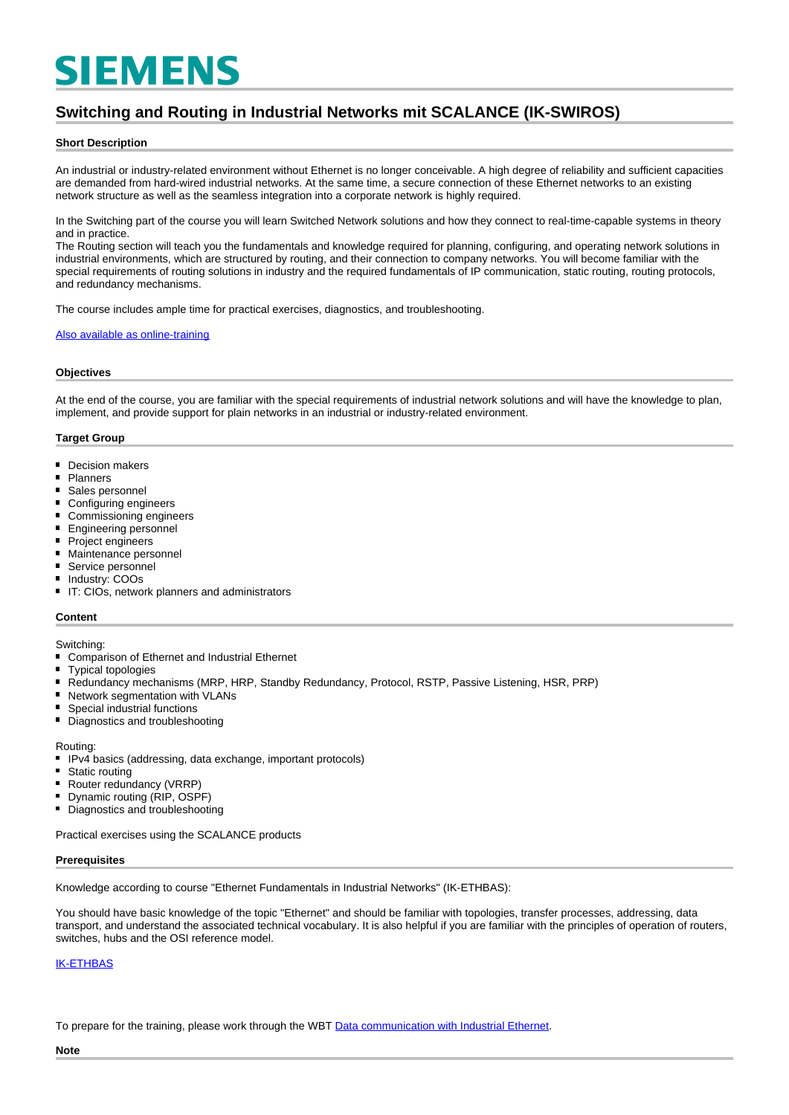# **SIEMENS**

# **Switching and Routing in Industrial Networks mit SCALANCE (IK-SWIROS)**

### **Short Description**

An industrial or industry-related environment without Ethernet is no longer conceivable. A high degree of reliability and sufficient capacities are demanded from hard-wired industrial networks. At the same time, a secure connection of these Ethernet networks to an existing network structure as well as the seamless integration into a corporate network is highly required.

In the Switching part of the course you will learn Switched Network solutions and how they connect to real-time-capable systems in theory and in practice.

The Routing section will teach you the fundamentals and knowledge required for planning, configuring, and operating network solutions in industrial environments, which are structured by routing, and their connection to company networks. You will become familiar with the special requirements of routing solutions in industry and the required fundamentals of IP communication, static routing, routing protocols, and redundancy mechanisms.

The course includes ample time for practical exercises, diagnostics, and troubleshooting.

#### [Also available as online-training](https://www.sitrain-learning.siemens.com/DE/en/rw99426/)

### **Objectives**

At the end of the course, you are familiar with the special requirements of industrial network solutions and will have the knowledge to plan, implement, and provide support for plain networks in an industrial or industry-related environment.

### **Target Group**

- Decision makers
- $\blacksquare$ Planners
- $\blacksquare$ Sales personnel
- Configuring engineers
- Commissioning engineers
- $\blacksquare$ Engineering personnel
- Project engineers
- Maintenance personnel
- Service personnel
- $\blacksquare$ Industry: COOs
- IT: CIOs, network planners and administrators

### **Content**

#### Switching:

- Comparison of Ethernet and Industrial Ethernet
- $\blacksquare$ Typical topologies
- $\blacksquare$ Redundancy mechanisms (MRP, HRP, Standby Redundancy, Protocol, RSTP, Passive Listening, HSR, PRP)
- $\blacksquare$ Network segmentation with VLANs
- $\blacksquare$ Special industrial functions
- Diagnostics and troubleshooting

- Routing:<br>IPv4 IPv4 basics (addressing, data exchange, important protocols)
- Static routing
- $\blacksquare$ Router redundancy (VRRP)
- Dynamic routing (RIP, OSPF)
- Diagnostics and troubleshooting

Practical exercises using the SCALANCE products

### **Prerequisites**

Knowledge according to course "Ethernet Fundamentals in Industrial Networks" (IK-ETHBAS):

You should have basic knowledge of the topic "Ethernet" and should be familiar with topologies, transfer processes, addressing, data transport, and understand the associated technical vocabulary. It is also helpful if you are familiar with the principles of operation of routers, switches, hubs and the OSI reference model.

## [IK-ETHBAS](https://www.sitrain-learning.siemens.com/DE/en/product/chapter/44ABBBX/course/44AAHHI/description.do?hash=383046004ef9cb06403ec321b71dac56)

To prepare for the training, please work through the WBT [Data communication with Industrial Ethernet](https://cache.industry.siemens.com/dl/dl-media/370/22531370/att_996981/v24/22531370_Ind_Kommunikation_web/start.htm#!/de/13825).